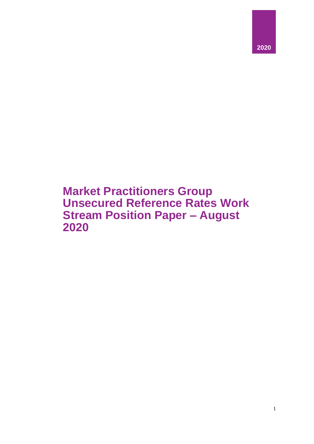

# **Market Practitioners Group Unsecured Reference Rates Work Stream Position Paper – August 2020**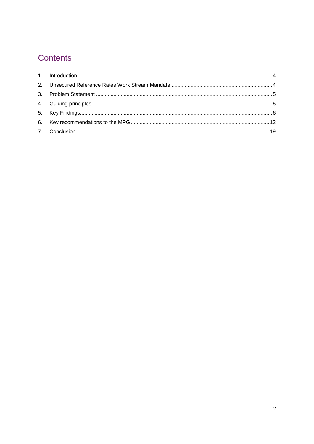# Contents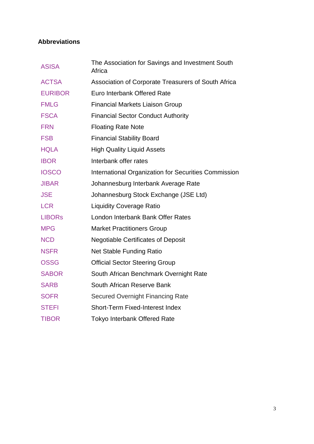# **Abbreviations**

| <b>ASISA</b>   | The Association for Savings and Investment South<br>Africa  |
|----------------|-------------------------------------------------------------|
| <b>ACTSA</b>   | Association of Corporate Treasurers of South Africa         |
| <b>EURIBOR</b> | Euro Interbank Offered Rate                                 |
| <b>FMLG</b>    | <b>Financial Markets Liaison Group</b>                      |
| <b>FSCA</b>    | <b>Financial Sector Conduct Authority</b>                   |
| <b>FRN</b>     | <b>Floating Rate Note</b>                                   |
| <b>FSB</b>     | <b>Financial Stability Board</b>                            |
| <b>HQLA</b>    | <b>High Quality Liquid Assets</b>                           |
| <b>IBOR</b>    | Interbank offer rates                                       |
| <b>IOSCO</b>   | <b>International Organization for Securities Commission</b> |
| <b>JIBAR</b>   | Johannesburg Interbank Average Rate                         |
| <b>JSE</b>     | Johannesburg Stock Exchange (JSE Ltd)                       |
| <b>LCR</b>     | <b>Liquidity Coverage Ratio</b>                             |
| <b>LIBORS</b>  | London Interbank Bank Offer Rates                           |
| <b>MPG</b>     | <b>Market Practitioners Group</b>                           |
| <b>NCD</b>     | <b>Negotiable Certificates of Deposit</b>                   |
| <b>NSFR</b>    | <b>Net Stable Funding Ratio</b>                             |
| <b>OSSG</b>    | <b>Official Sector Steering Group</b>                       |
| <b>SABOR</b>   | South African Benchmark Overnight Rate                      |
| <b>SARB</b>    | South African Reserve Bank                                  |
| <b>SOFR</b>    | <b>Secured Overnight Financing Rate</b>                     |
| <b>STEFI</b>   | <b>Short-Term Fixed-Interest Index</b>                      |
| <b>TIBOR</b>   | <b>Tokyo Interbank Offered Rate</b>                         |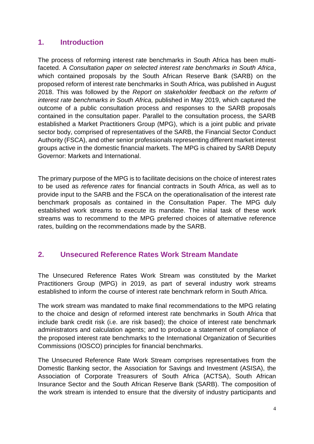# <span id="page-3-0"></span>**1. Introduction**

The process of reforming interest rate benchmarks in South Africa has been multifaceted. A *Consultation paper on selected interest rate benchmarks in South Africa*, which contained proposals by the South African Reserve Bank (SARB) on the proposed reform of interest rate benchmarks in South Africa, was published in August 2018. This was followed by the *Report on stakeholder feedback on the reform of interest rate benchmarks in South Africa,* published in May 2019, which captured the outcome of a public consultation process and responses to the SARB proposals contained in the consultation paper. Parallel to the consultation process, the SARB established a Market Practitioners Group (MPG), which is a joint public and private sector body, comprised of representatives of the SARB, the Financial Sector Conduct Authority (FSCA), and other senior professionals representing different market interest groups active in the domestic financial markets. The MPG is chaired by SARB Deputy Governor: Markets and International.

The primary purpose of the MPG is to facilitate decisions on the choice of interest rates to be used as *reference rates* for financial contracts in South Africa, as well as to provide input to the SARB and the FSCA on the operationalisation of the interest rate benchmark proposals as contained in the Consultation Paper. The MPG duly established work streams to execute its mandate. The initial task of these work streams was to recommend to the MPG preferred choices of alternative reference rates, building on the recommendations made by the SARB.

# <span id="page-3-1"></span>**2. Unsecured Reference Rates Work Stream Mandate**

The Unsecured Reference Rates Work Stream was constituted by the Market Practitioners Group (MPG) in 2019, as part of several industry work streams established to inform the course of interest rate benchmark reform in South Africa.

The work stream was mandated to make final recommendations to the MPG relating to the choice and design of reformed interest rate benchmarks in South Africa that include bank credit risk (i.e. are risk based); the choice of interest rate benchmark administrators and calculation agents; and to produce a statement of compliance of the proposed interest rate benchmarks to the International Organization of Securities Commissions (IOSCO) principles for financial benchmarks.

The Unsecured Reference Rate Work Stream comprises representatives from the Domestic Banking sector, the Association for Savings and Investment (ASISA), the Association of Corporate Treasurers of South Africa (ACTSA), South African Insurance Sector and the South African Reserve Bank (SARB). The composition of the work stream is intended to ensure that the diversity of industry participants and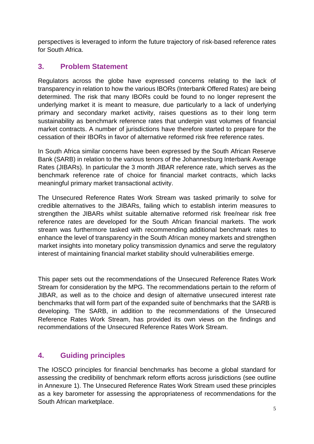perspectives is leveraged to inform the future trajectory of risk-based reference rates for South Africa.

# <span id="page-4-0"></span>**3. Problem Statement**

Regulators across the globe have expressed concerns relating to the lack of transparency in relation to how the various IBORs (Interbank Offered Rates) are being determined. The risk that many IBORs could be found to no longer represent the underlying market it is meant to measure, due particularly to a lack of underlying primary and secondary market activity, raises questions as to their long term sustainability as benchmark reference rates that underpin vast volumes of financial market contracts. A number of jurisdictions have therefore started to prepare for the cessation of their IBORs in favor of alternative reformed risk free reference rates.

In South Africa similar concerns have been expressed by the South African Reserve Bank (SARB) in relation to the various tenors of the Johannesburg Interbank Average Rates (JIBARs). In particular the 3 month JIBAR reference rate, which serves as the benchmark reference rate of choice for financial market contracts, which lacks meaningful primary market transactional activity.

The Unsecured Reference Rates Work Stream was tasked primarily to solve for credible alternatives to the JIBARs, failing which to establish interim measures to strengthen the JIBARs whilst suitable alternative reformed risk free/near risk free reference rates are developed for the South African financial markets. The work stream was furthermore tasked with recommending additional benchmark rates to enhance the level of transparency in the South African money markets and strengthen market insights into monetary policy transmission dynamics and serve the regulatory interest of maintaining financial market stability should vulnerabilities emerge.

This paper sets out the recommendations of the Unsecured Reference Rates Work Stream for consideration by the MPG. The recommendations pertain to the reform of JIBAR, as well as to the choice and design of alternative unsecured interest rate benchmarks that will form part of the expanded suite of benchmarks that the SARB is developing. The SARB, in addition to the recommendations of the Unsecured Reference Rates Work Stream, has provided its own views on the findings and recommendations of the Unsecured Reference Rates Work Stream.

# <span id="page-4-1"></span>**4. Guiding principles**

The IOSCO principles for financial benchmarks has become a global standard for assessing the credibility of benchmark reform efforts across jurisdictions (see outline in Annexure 1). The Unsecured Reference Rates Work Stream used these principles as a key barometer for assessing the appropriateness of recommendations for the South African marketplace.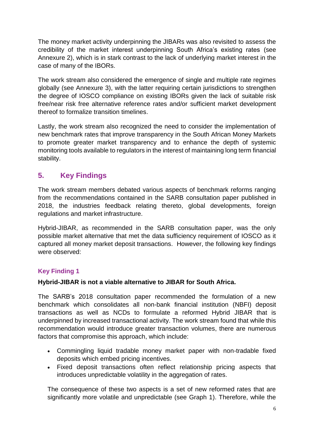The money market activity underpinning the JIBARs was also revisited to assess the credibility of the market interest underpinning South Africa's existing rates (see Annexure 2), which is in stark contrast to the lack of underlying market interest in the case of many of the IBORs.

The work stream also considered the emergence of single and multiple rate regimes globally (see Annexure 3), with the latter requiring certain jurisdictions to strengthen the degree of IOSCO compliance on existing IBORs given the lack of suitable risk free/near risk free alternative reference rates and/or sufficient market development thereof to formalize transition timelines.

Lastly, the work stream also recognized the need to consider the implementation of new benchmark rates that improve transparency in the South African Money Markets to promote greater market transparency and to enhance the depth of systemic monitoring tools available to regulators in the interest of maintaining long term financial stability.

# <span id="page-5-0"></span>**5. Key Findings**

The work stream members debated various aspects of benchmark reforms ranging from the recommendations contained in the SARB consultation paper published in 2018, the industries feedback relating thereto, global developments, foreign regulations and market infrastructure.

Hybrid-JIBAR, as recommended in the SARB consultation paper, was the only possible market alternative that met the data sufficiency requirement of IOSCO as it captured all money market deposit transactions. However, the following key findings were observed:

# **Key Finding 1**

# **Hybrid-JIBAR is not a viable alternative to JIBAR for South Africa.**

The SARB's 2018 consultation paper recommended the formulation of a new benchmark which consolidates all non-bank financial institution (NBFI) deposit transactions as well as NCDs to formulate a reformed Hybrid JIBAR that is underpinned by increased transactional activity. The work stream found that while this recommendation would introduce greater transaction volumes, there are numerous factors that compromise this approach, which include:

- Commingling liquid tradable money market paper with non-tradable fixed deposits which embed pricing incentives.
- Fixed deposit transactions often reflect relationship pricing aspects that introduces unpredictable volatility in the aggregation of rates.

The consequence of these two aspects is a set of new reformed rates that are significantly more volatile and unpredictable (see Graph 1). Therefore, while the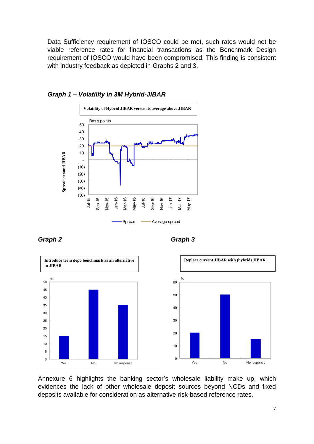Data Sufficiency requirement of IOSCO could be met, such rates would not be viable reference rates for financial transactions as the Benchmark Design requirement of IOSCO would have been compromised. This finding is consistent with industry feedback as depicted in Graphs 2 and 3.



#### *Graph 1 – Volatility in 3M Hybrid-JIBAR*







Annexure 6 highlights the banking sector's wholesale liability make up, which evidences the lack of other wholesale deposit sources beyond NCDs and fixed deposits available for consideration as alternative risk-based reference rates.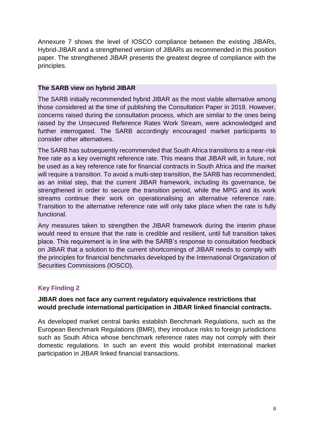Annexure 7 shows the level of IOSCO compliance between the existing JIBARs, Hybrid-JIBAR and a strengthened version of JIBARs as recommended in this position paper. The strengthened JIBAR presents the greatest degree of compliance with the principles.

### **The SARB view on hybrid JIBAR**

The SARB initially recommended hybrid JIBAR as the most viable alternative among those considered at the time of publishing the Consultation Paper in 2018. However, concerns raised during the consultation process, which are similar to the ones being raised by the Unsecured Reference Rates Work Stream, were acknowledged and further interrogated. The SARB accordingly encouraged market participants to consider other alternatives.

The SARB has subsequently recommended that South Africa transitions to a near-risk free rate as a key overnight reference rate. This means that JIBAR will, in future, not be used as a key reference rate for financial contracts in South Africa and the market will require a transition. To avoid a multi-step transition, the SARB has recommended, as an initial step, that the current JIBAR framework, including its governance, be strengthened in order to secure the transition period, while the MPG and its work streams continue their work on operationalising an alternative reference rate. Transition to the alternative reference rate will only take place when the rate is fully functional.

Any measures taken to strengthen the JIBAR framework during the interim phase would need to ensure that the rate is credible and resilient, until full transition takes place. This requirement is in line with the SARB's response to consultation feedback on JIBAR that a solution to the current shortcomings of JIBAR needs to comply with the principles for financial benchmarks developed by the International Organization of Securities Commissions (IOSCO).

# **Key Finding 2**

# **JIBAR does not face any current regulatory equivalence restrictions that would preclude international participation in JIBAR linked financial contracts.**

As developed market central banks establish Benchmark Regulations, such as the European Benchmark Regulations (BMR), they introduce risks to foreign jurisdictions such as South Africa whose benchmark reference rates may not comply with their domestic regulations. In such an event this would prohibit international market participation in JIBAR linked financial transactions.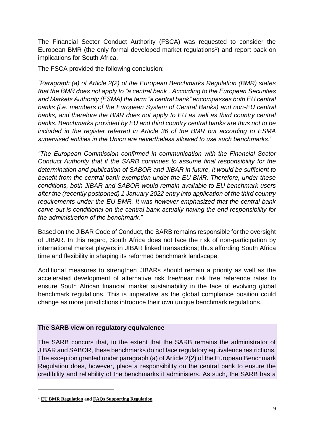The Financial Sector Conduct Authority (FSCA) was requested to consider the European BMR (the only formal developed market regulations<sup>1</sup>) and report back on implications for South Africa.

The FSCA provided the following conclusion:

*"Paragraph (a) of Article 2(2) of the European Benchmarks Regulation (BMR) states that the BMR does not apply to "a central bank". According to the European Securities and Markets Authority (ESMA) the term "a central bank" encompasses both EU central banks (i.e. members of the European System of Central Banks) and non-EU central banks, and therefore the BMR does not apply to EU as well as third country central banks. Benchmarks provided by EU and third country central banks are thus not to be included in the register referred in Article 36 of the BMR but according to ESMA supervised entities in the Union are nevertheless allowed to use such benchmarks."*

*"The European Commission confirmed in communication with the Financial Sector Conduct Authority that if the SARB continues to assume final responsibility for the determination and publication of SABOR and JIBAR in future, it would be sufficient to benefit from the central bank exemption under the EU BMR. Therefore, under these conditions, both JIBAR and SABOR would remain available to EU benchmark users after the (recently postponed) 1 January 2022 entry into application of the third country requirements under the EU BMR. It was however emphasized that the central bank carve-out is conditional on the central bank actually having the end responsibility for the administration of the benchmark."*

Based on the JIBAR Code of Conduct, the SARB remains responsible for the oversight of JIBAR. In this regard, South Africa does not face the risk of non-participation by international market players in JIBAR linked transactions; thus affording South Africa time and flexibility in shaping its reformed benchmark landscape.

Additional measures to strengthen JIBARs should remain a priority as well as the accelerated development of alternative risk free/near risk free reference rates to ensure South African financial market sustainability in the face of evolving global benchmark regulations. This is imperative as the global compliance position could change as more jurisdictions introduce their own unique benchmark regulations.

# **The SARB view on regulatory equivalence**

The SARB concurs that, to the extent that the SARB remains the administrator of JIBAR and SABOR, these benchmarks do not face regulatory equivalence restrictions. The exception granted under paragraph (a) of Article 2(2) of the European Benchmark Regulation does, however, place a responsibility on the central bank to ensure the credibility and reliability of the benchmarks it administers. As such, the SARB has a

<sup>1</sup> **[EU BMR Regulation](https://eur-lex.europa.eu/eli/reg/2016/1011/oj) and [FAQs Supporting Regulation](https://www.esma.europa.eu/sites/default/files/library/esma70-145-114_qas_on_bmr.pdf)**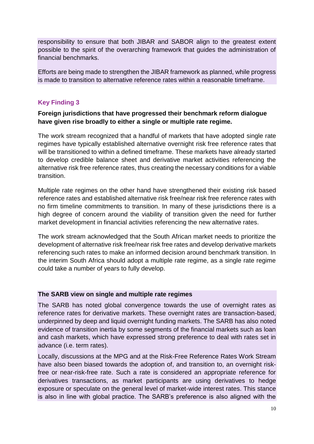responsibility to ensure that both JIBAR and SABOR align to the greatest extent possible to the spirit of the overarching framework that guides the administration of financial benchmarks.

Efforts are being made to strengthen the JIBAR framework as planned, while progress is made to transition to alternative reference rates within a reasonable timeframe.

### **Key Finding 3**

### **Foreign jurisdictions that have progressed their benchmark reform dialogue have given rise broadly to either a single or multiple rate regime.**

The work stream recognized that a handful of markets that have adopted single rate regimes have typically established alternative overnight risk free reference rates that will be transitioned to within a defined timeframe. These markets have already started to develop credible balance sheet and derivative market activities referencing the alternative risk free reference rates, thus creating the necessary conditions for a viable transition.

Multiple rate regimes on the other hand have strengthened their existing risk based reference rates and established alternative risk free/near risk free reference rates with no firm timeline commitments to transition. In many of these jurisdictions there is a high degree of concern around the viability of transition given the need for further market development in financial activities referencing the new alternative rates.

The work stream acknowledged that the South African market needs to prioritize the development of alternative risk free/near risk free rates and develop derivative markets referencing such rates to make an informed decision around benchmark transition. In the interim South Africa should adopt a multiple rate regime, as a single rate regime could take a number of years to fully develop.

#### **The SARB view on single and multiple rate regimes**

The SARB has noted global convergence towards the use of overnight rates as reference rates for derivative markets. These overnight rates are transaction-based, underpinned by deep and liquid overnight funding markets. The SARB has also noted evidence of transition inertia by some segments of the financial markets such as loan and cash markets, which have expressed strong preference to deal with rates set in advance (i.e. term rates).

Locally, discussions at the MPG and at the Risk-Free Reference Rates Work Stream have also been biased towards the adoption of, and transition to, an overnight riskfree or near-risk-free rate. Such a rate is considered an appropriate reference for derivatives transactions, as market participants are using derivatives to hedge exposure or speculate on the general level of market‐wide interest rates. This stance is also in line with global practice. The SARB's preference is also aligned with the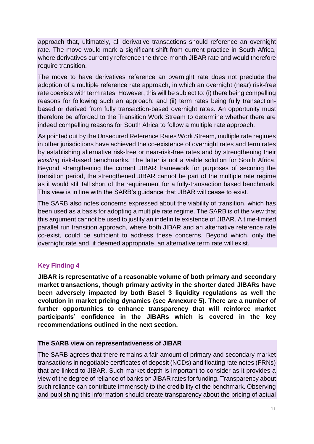approach that, ultimately, all derivative transactions should reference an overnight rate. The move would mark a significant shift from current practice in South Africa, where derivatives currently reference the three-month JIBAR rate and would therefore require transition.

The move to have derivatives reference an overnight rate does not preclude the adoption of a multiple reference rate approach, in which an overnight (near) risk-free rate coexists with term rates. However, this will be subject to: (i) there being compelling reasons for following such an approach; and (ii) term rates being fully transactionbased or derived from fully transaction-based overnight rates. An opportunity must therefore be afforded to the Transition Work Stream to determine whether there are indeed compelling reasons for South Africa to follow a multiple rate approach.

As pointed out by the Unsecured Reference Rates Work Stream, multiple rate regimes in other jurisdictions have achieved the co-existence of overnight rates and term rates by establishing alternative risk-free or near-risk-free rates and by strengthening their *existing* risk-based benchmarks. The latter is not a viable solution for South Africa. Beyond strengthening the current JIBAR framework for purposes of securing the transition period, the strengthened JIBAR cannot be part of the multiple rate regime as it would still fall short of the requirement for a fully-transaction based benchmark. This view is in line with the SARB's guidance that JIBAR will cease to exist.

The SARB also notes concerns expressed about the viability of transition, which has been used as a basis for adopting a multiple rate regime. The SARB is of the view that this argument cannot be used to justify an indefinite existence of JIBAR. A time-limited parallel run transition approach, where both JIBAR and an alternative reference rate co-exist, could be sufficient to address these concerns. Beyond which, only the overnight rate and, if deemed appropriate, an alternative term rate will exist.

# **Key Finding 4**

**JIBAR is representative of a reasonable volume of both primary and secondary market transactions, though primary activity in the shorter dated JIBARs have been adversely impacted by both Basel 3 liquidity regulations as well the evolution in market pricing dynamics (see Annexure 5). There are a number of further opportunities to enhance transparency that will reinforce market participants' confidence in the JIBARs which is covered in the key recommendations outlined in the next section.**

# **The SARB view on representativeness of JIBAR**

The SARB agrees that there remains a fair amount of primary and secondary market transactions in negotiable certificates of deposit (NCDs) and floating rate notes (FRNs) that are linked to JIBAR. Such market depth is important to consider as it provides a view of the degree of reliance of banks on JIBAR rates for funding. Transparency about such reliance can contribute immensely to the credibility of the benchmark. Observing and publishing this information should create transparency about the pricing of actual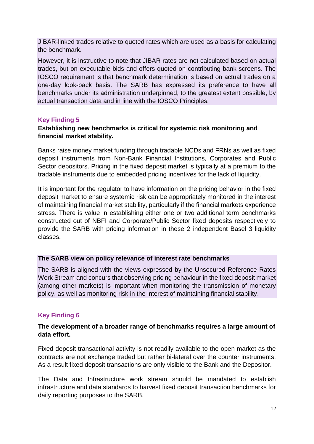JIBAR-linked trades relative to quoted rates which are used as a basis for calculating the benchmark.

However, it is instructive to note that JIBAR rates are not calculated based on actual trades, but on executable bids and offers quoted on contributing bank screens. The IOSCO requirement is that benchmark determination is based on actual trades on a one-day look-back basis. The SARB has expressed its preference to have all benchmarks under its administration underpinned, to the greatest extent possible, by actual transaction data and in line with the IOSCO Principles.

# **Key Finding 5**

# **Establishing new benchmarks is critical for systemic risk monitoring and financial market stability.**

Banks raise money market funding through tradable NCDs and FRNs as well as fixed deposit instruments from Non-Bank Financial Institutions, Corporates and Public Sector depositors. Pricing in the fixed deposit market is typically at a premium to the tradable instruments due to embedded pricing incentives for the lack of liquidity.

It is important for the regulator to have information on the pricing behavior in the fixed deposit market to ensure systemic risk can be appropriately monitored in the interest of maintaining financial market stability, particularly if the financial markets experience stress. There is value in establishing either one or two additional term benchmarks constructed out of NBFI and Corporate/Public Sector fixed deposits respectively to provide the SARB with pricing information in these 2 independent Basel 3 liquidity classes.

#### **The SARB view on policy relevance of interest rate benchmarks**

The SARB is aligned with the views expressed by the Unsecured Reference Rates Work Stream and concurs that observing pricing behaviour in the fixed deposit market (among other markets) is important when monitoring the transmission of monetary policy, as well as monitoring risk in the interest of maintaining financial stability.

# **Key Finding 6**

# **The development of a broader range of benchmarks requires a large amount of data effort.**

Fixed deposit transactional activity is not readily available to the open market as the contracts are not exchange traded but rather bi-lateral over the counter instruments. As a result fixed deposit transactions are only visible to the Bank and the Depositor.

The Data and Infrastructure work stream should be mandated to establish infrastructure and data standards to harvest fixed deposit transaction benchmarks for daily reporting purposes to the SARB.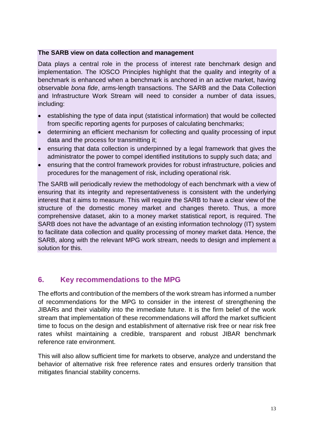#### **The SARB view on data collection and management**

Data plays a central role in the process of interest rate benchmark design and implementation. The IOSCO Principles highlight that the quality and integrity of a benchmark is enhanced when a benchmark is anchored in an active market, having observable *bona fide*, arms-length transactions. The SARB and the Data Collection and Infrastructure Work Stream will need to consider a number of data issues, including:

- establishing the type of data input (statistical information) that would be collected from specific reporting agents for purposes of calculating benchmarks;
- determining an efficient mechanism for collecting and quality processing of input data and the process for transmitting it;
- ensuring that data collection is underpinned by a legal framework that gives the administrator the power to compel identified institutions to supply such data; and
- ensuring that the control framework provides for robust infrastructure, policies and procedures for the management of risk, including operational risk.

The SARB will periodically review the methodology of each benchmark with a view of ensuring that its integrity and representativeness is consistent with the underlying interest that it aims to measure. This will require the SARB to have a clear view of the structure of the domestic money market and changes thereto. Thus, a more comprehensive dataset, akin to a money market statistical report, is required. The SARB does not have the advantage of an existing information technology (IT) system to facilitate data collection and quality processing of money market data. Hence, the SARB, along with the relevant MPG work stream, needs to design and implement a solution for this.

# <span id="page-12-0"></span>**6. Key recommendations to the MPG**

The efforts and contribution of the members of the work stream has informed a number of recommendations for the MPG to consider in the interest of strengthening the JIBARs and their viability into the immediate future. It is the firm belief of the work stream that implementation of these recommendations will afford the market sufficient time to focus on the design and establishment of alternative risk free or near risk free rates whilst maintaining a credible, transparent and robust JIBAR benchmark reference rate environment.

This will also allow sufficient time for markets to observe, analyze and understand the behavior of alternative risk free reference rates and ensures orderly transition that mitigates financial stability concerns.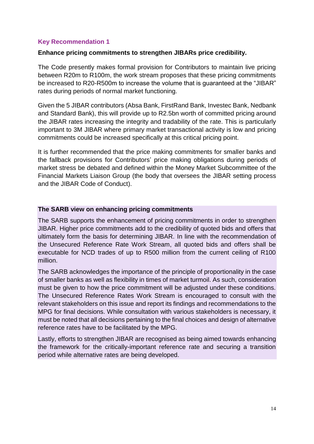### **Key Recommendation 1**

#### **Enhance pricing commitments to strengthen JIBARs price credibility.**

The Code presently makes formal provision for Contributors to maintain live pricing between R20m to R100m, the work stream proposes that these pricing commitments be increased to R20-R500m to increase the volume that is guaranteed at the "JIBAR" rates during periods of normal market functioning.

Given the 5 JIBAR contributors (Absa Bank, FirstRand Bank, Investec Bank, Nedbank and Standard Bank), this will provide up to R2.5bn worth of committed pricing around the JIBAR rates increasing the integrity and tradability of the rate. This is particularly important to 3M JIBAR where primary market transactional activity is low and pricing commitments could be increased specifically at this critical pricing point.

It is further recommended that the price making commitments for smaller banks and the fallback provisions for Contributors' price making obligations during periods of market stress be debated and defined within the Money Market Subcommittee of the Financial Markets Liaison Group (the body that oversees the JIBAR setting process and the JIBAR Code of Conduct).

#### **The SARB view on enhancing pricing commitments**

The SARB supports the enhancement of pricing commitments in order to strengthen JIBAR. Higher price commitments add to the credibility of quoted bids and offers that ultimately form the basis for determining JIBAR. In line with the recommendation of the Unsecured Reference Rate Work Stream, all quoted bids and offers shall be executable for NCD trades of up to R500 million from the current ceiling of R100 million.

The SARB acknowledges the importance of the principle of proportionality in the case of smaller banks as well as flexibility in times of market turmoil. As such, consideration must be given to how the price commitment will be adjusted under these conditions. The Unsecured Reference Rates Work Stream is encouraged to consult with the relevant stakeholders on this issue and report its findings and recommendations to the MPG for final decisions. While consultation with various stakeholders is necessary, it must be noted that all decisions pertaining to the final choices and design of alternative reference rates have to be facilitated by the MPG.

Lastly, efforts to strengthen JIBAR are recognised as being aimed towards enhancing the framework for the critically-important reference rate and securing a transition period while alternative rates are being developed.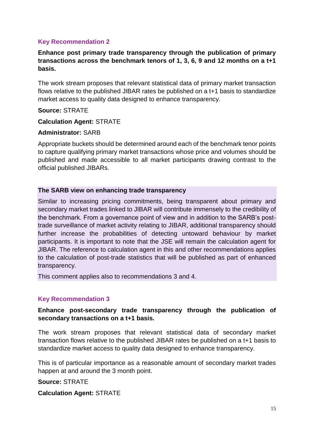### **Key Recommendation 2**

### **Enhance post primary trade transparency through the publication of primary transactions across the benchmark tenors of 1, 3, 6, 9 and 12 months on a t+1 basis.**

The work stream proposes that relevant statistical data of primary market transaction flows relative to the published JIBAR rates be published on a t+1 basis to standardize market access to quality data designed to enhance transparency.

#### **Source:** STRATE

#### **Calculation Agent:** STRATE

#### **Administrator:** SARB

Appropriate buckets should be determined around each of the benchmark tenor points to capture qualifying primary market transactions whose price and volumes should be published and made accessible to all market participants drawing contrast to the official published JIBARs.

#### **The SARB view on enhancing trade transparency**

Similar to increasing pricing commitments, being transparent about primary and secondary market trades linked to JIBAR will contribute immensely to the credibility of the benchmark. From a governance point of view and in addition to the SARB's posttrade surveillance of market activity relating to JIBAR, additional transparency should further increase the probabilities of detecting untoward behaviour by market participants. It is important to note that the JSE will remain the calculation agent for JIBAR. The reference to calculation agent in this and other recommendations applies to the calculation of post-trade statistics that will be published as part of enhanced transparency.

This comment applies also to recommendations 3 and 4.

#### **Key Recommendation 3**

### **Enhance post-secondary trade transparency through the publication of secondary transactions on a t+1 basis.**

The work stream proposes that relevant statistical data of secondary market transaction flows relative to the published JIBAR rates be published on a t+1 basis to standardize market access to quality data designed to enhance transparency.

This is of particular importance as a reasonable amount of secondary market trades happen at and around the 3 month point.

**Source:** STRATE **Calculation Agent:** STRATE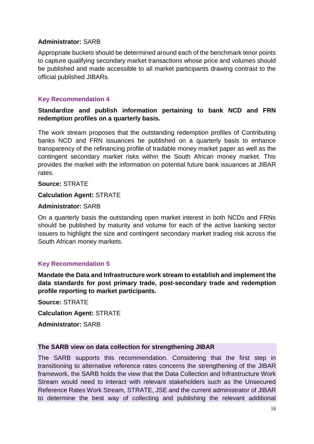### **Administrator:** SARB

Appropriate buckets should be determined around each of the benchmark tenor points to capture qualifying secondary market transactions whose price and volumes should be published and made accessible to all market participants drawing contrast to the official published JIBARs.

### **Key Recommendation 4**

### **Standardize and publish information pertaining to bank NCD and FRN redemption profiles on a quarterly basis.**

The work stream proposes that the outstanding redemption profiles of Contributing banks NCD and FRN issuances be published on a quarterly basis to enhance transparency of the refinancing profile of tradable money market paper as well as the contingent secondary market risks within the South African money market. This provides the market with the information on potential future bank issuances at JIBAR rates.

**Source:** STRATE

#### **Calculation Agent:** STRATE

#### **Administrator:** SARB

On a quarterly basis the outstanding open market interest in both NCDs and FRNs should be published by maturity and volume for each of the active banking sector issuers to highlight the size and contingent secondary market trading risk across the South African money markets.

#### **Key Recommendation 5**

**Mandate the Data and Infrastructure work stream to establish and implement the data standards for post primary trade, post-secondary trade and redemption profile reporting to market participants.** 

**Source:** STRATE

**Calculation Agent:** STRATE

**Administrator:** SARB

#### **The SARB view on data collection for strengthening JIBAR**

The SARB supports this recommendation. Considering that the first step in transitioning to alternative reference rates concerns the strengthening of the JIBAR framework, the SARB holds the view that the Data Collection and Infrastructure Work Stream would need to interact with relevant stakeholders such as the Unsecured Reference Rates Work Stream, STRATE, JSE and the current administrator of JIBAR to determine the best way of collecting and publishing the relevant additional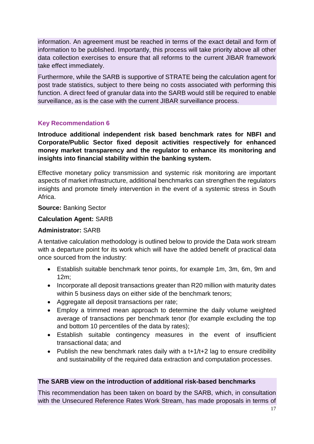information. An agreement must be reached in terms of the exact detail and form of information to be published. Importantly, this process will take priority above all other data collection exercises to ensure that all reforms to the current JIBAR framework take effect immediately.

Furthermore, while the SARB is supportive of STRATE being the calculation agent for post trade statistics, subject to there being no costs associated with performing this function. A direct feed of granular data into the SARB would still be required to enable surveillance, as is the case with the current JIBAR surveillance process.

# **Key Recommendation 6**

**Introduce additional independent risk based benchmark rates for NBFI and Corporate/Public Sector fixed deposit activities respectively for enhanced money market transparency and the regulator to enhance its monitoring and insights into financial stability within the banking system.**

Effective monetary policy transmission and systemic risk monitoring are important aspects of market infrastructure, additional benchmarks can strengthen the regulators insights and promote timely intervention in the event of a systemic stress in South Africa.

#### **Source:** Banking Sector

#### **Calculation Agent:** SARB

#### **Administrator:** SARB

A tentative calculation methodology is outlined below to provide the Data work stream with a departure point for its work which will have the added benefit of practical data once sourced from the industry:

- Establish suitable benchmark tenor points, for example 1m, 3m, 6m, 9m and 12m;
- Incorporate all deposit transactions greater than R20 million with maturity dates within 5 business days on either side of the benchmark tenors;
- Aggregate all deposit transactions per rate;
- Employ a trimmed mean approach to determine the daily volume weighted average of transactions per benchmark tenor (for example excluding the top and bottom 10 percentiles of the data by rates);
- Establish suitable contingency measures in the event of insufficient transactional data; and
- Publish the new benchmark rates daily with a t+1/t+2 lag to ensure credibility and sustainability of the required data extraction and computation processes.

### **The SARB view on the introduction of additional risk-based benchmarks**

This recommendation has been taken on board by the SARB, which, in consultation with the Unsecured Reference Rates Work Stream, has made proposals in terms of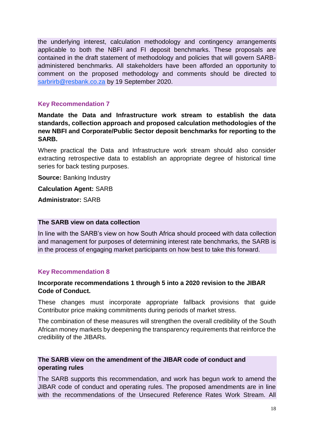the underlying interest, calculation methodology and contingency arrangements applicable to both the NBFI and FI deposit benchmarks. These proposals are contained in the draft statement of methodology and policies that will govern SARBadministered benchmarks. All stakeholders have been afforded an opportunity to comment on the proposed methodology and comments should be directed to [sarbrirb@resbank.co.za](mailto:sarbrirb@resbank.co.za) by 19 September 2020.

### **Key Recommendation 7**

**Mandate the Data and Infrastructure work stream to establish the data standards, collection approach and proposed calculation methodologies of the new NBFI and Corporate/Public Sector deposit benchmarks for reporting to the SARB.**

Where practical the Data and Infrastructure work stream should also consider extracting retrospective data to establish an appropriate degree of historical time series for back testing purposes.

**Source: Banking Industry** 

**Calculation Agent:** SARB

**Administrator:** SARB

#### **The SARB view on data collection**

In line with the SARB's view on how South Africa should proceed with data collection and management for purposes of determining interest rate benchmarks, the SARB is in the process of engaging market participants on how best to take this forward.

#### **Key Recommendation 8**

### **Incorporate recommendations 1 through 5 into a 2020 revision to the JIBAR Code of Conduct.**

These changes must incorporate appropriate fallback provisions that guide Contributor price making commitments during periods of market stress.

The combination of these measures will strengthen the overall credibility of the South African money markets by deepening the transparency requirements that reinforce the credibility of the JIBARs.

# **The SARB view on the amendment of the JIBAR code of conduct and operating rules**

The SARB supports this recommendation, and work has begun work to amend the JIBAR code of conduct and operating rules. The proposed amendments are in line with the recommendations of the Unsecured Reference Rates Work Stream. All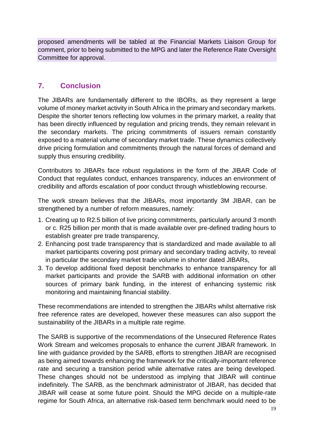proposed amendments will be tabled at the Financial Markets Liaison Group for comment, prior to being submitted to the MPG and later the Reference Rate Oversight Committee for approval.

# <span id="page-18-0"></span>**7. Conclusion**

The JIBARs are fundamentally different to the IBORs, as they represent a large volume of money market activity in South Africa in the primary and secondary markets. Despite the shorter tenors reflecting low volumes in the primary market, a reality that has been directly influenced by regulation and pricing trends, they remain relevant in the secondary markets. The pricing commitments of issuers remain constantly exposed to a material volume of secondary market trade. These dynamics collectively drive pricing formulation and commitments through the natural forces of demand and supply thus ensuring credibility.

Contributors to JIBARs face robust regulations in the form of the JIBAR Code of Conduct that regulates conduct, enhances transparency, induces an environment of credibility and affords escalation of poor conduct through whistleblowing recourse.

The work stream believes that the JIBARs, most importantly 3M JIBAR, can be strengthened by a number of reform measures, namely:

- 1. Creating up to R2.5 billion of live pricing commitments, particularly around 3 month or c. R25 billion per month that is made available over pre-defined trading hours to establish greater pre trade transparency,
- 2. Enhancing post trade transparency that is standardized and made available to all market participants covering post primary and secondary trading activity, to reveal in particular the secondary market trade volume in shorter dated JIBARs,
- 3. To develop additional fixed deposit benchmarks to enhance transparency for all market participants and provide the SARB with additional information on other sources of primary bank funding, in the interest of enhancing systemic risk monitoring and maintaining financial stability.

These recommendations are intended to strengthen the JIBARs whilst alternative risk free reference rates are developed, however these measures can also support the sustainability of the JIBARs in a multiple rate regime.

The SARB is supportive of the recommendations of the Unsecured Reference Rates Work Stream and welcomes proposals to enhance the current JIBAR framework. In line with guidance provided by the SARB, efforts to strengthen JIBAR are recognised as being aimed towards enhancing the framework for the critically-important reference rate and securing a transition period while alternative rates are being developed. These changes should not be understood as implying that JIBAR will continue indefinitely. The SARB, as the benchmark administrator of JIBAR, has decided that JIBAR will cease at some future point. Should the MPG decide on a multiple-rate regime for South Africa, an alternative risk-based term benchmark would need to be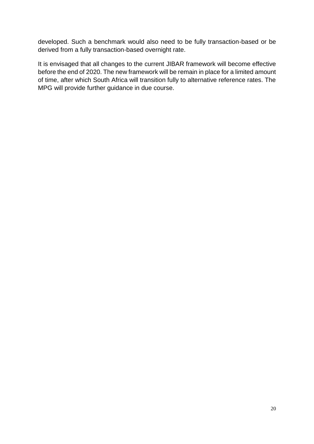developed. Such a benchmark would also need to be fully transaction-based or be derived from a fully transaction-based overnight rate.

It is envisaged that all changes to the current JIBAR framework will become effective before the end of 2020. The new framework will be remain in place for a limited amount of time, after which South Africa will transition fully to alternative reference rates. The MPG will provide further guidance in due course.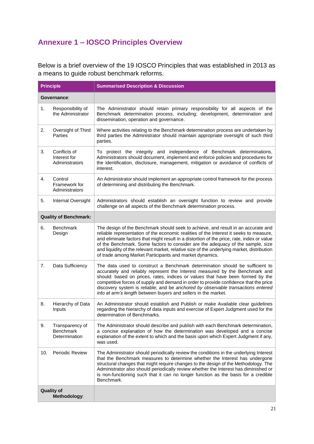# **Annexure 1 – IOSCO Principles Overview**

Below is a brief overview of the 19 IOSCO Principles that was established in 2013 as a means to guide robust benchmark reforms.

|             | <b>Principle</b>                                     | <b>Summarised Description &amp; Discussion</b>                                                                                                                                                                                                                                                                                                                                                                                                                                                                        |  |  |  |  |
|-------------|------------------------------------------------------|-----------------------------------------------------------------------------------------------------------------------------------------------------------------------------------------------------------------------------------------------------------------------------------------------------------------------------------------------------------------------------------------------------------------------------------------------------------------------------------------------------------------------|--|--|--|--|
| Governance: |                                                      |                                                                                                                                                                                                                                                                                                                                                                                                                                                                                                                       |  |  |  |  |
| 1.          | Responsibility of<br>the Administrator               | The Administrator should retain primary responsibility for all aspects of the<br>Benchmark determination process, including; development, determination and<br>dissemination, operation and governance.                                                                                                                                                                                                                                                                                                               |  |  |  |  |
| 2.          | Oversight of Third<br>Parties                        | Where activities relating to the Benchmark determination process are undertaken by<br>third parties the Administrator should maintain appropriate oversight of such third<br>parties.                                                                                                                                                                                                                                                                                                                                 |  |  |  |  |
| 3.          | Conflicts of<br>Interest for<br>Administrators       | To protect the integrity and independence of Benchmark determinations,<br>Administrators should document, implement and enforce policies and procedures for<br>the identification, disclosure, management, mitigation or avoidance of conflicts of<br>interest.                                                                                                                                                                                                                                                       |  |  |  |  |
| 4.          | Control<br>Framework for<br>Administrators           | An Administrator should implement an appropriate control framework for the process<br>of determining and distributing the Benchmark.                                                                                                                                                                                                                                                                                                                                                                                  |  |  |  |  |
| 5.          | Internal Oversight                                   | Administrators should establish an oversight function to review and provide<br>challenge on all aspects of the Benchmark determination process.                                                                                                                                                                                                                                                                                                                                                                       |  |  |  |  |
|             | <b>Quality of Benchmark:</b>                         |                                                                                                                                                                                                                                                                                                                                                                                                                                                                                                                       |  |  |  |  |
| 6.          | <b>Benchmark</b><br>Design                           | The design of the Benchmark should seek to achieve, and result in an accurate and<br>reliable representation of the economic realities of the Interest it seeks to measure,<br>and eliminate factors that might result in a distortion of the price, rate, index or value<br>of the Benchmark. Some factors to consider are the adequacy of the sample, size<br>and liquidity of the relevant market, relative size of the underlying market, distribution<br>of trade among Market Participants and market dynamics. |  |  |  |  |
| 7.          | Data Sufficiency                                     | The data used to construct a Benchmark determination should be sufficient to<br>accurately and reliably represent the Interest measured by the Benchmark and<br>should: based on prices, rates, indices or values that have been formed by the<br>competitive forces of supply and demand in order to provide confidence that the price<br>discovery system is reliable; and be anchored by observable transactions entered<br>into at arm's length between buyers and sellers in the market.                         |  |  |  |  |
| 8.          | Hierarchy of Data<br>Inputs                          | An Administrator should establish and Publish or make Available clear guidelines<br>regarding the hierarchy of data inputs and exercise of Expert Judgment used for the<br>determination of Benchmarks.                                                                                                                                                                                                                                                                                                               |  |  |  |  |
| 9.          | Transparency of<br><b>Benchmark</b><br>Determination | The Administrator should describe and publish with each Benchmark determination,<br>a concise explanation of how the determination was developed and a concise<br>explanation of the extent to which and the basis upon which Expert Judgment if any,<br>was used.                                                                                                                                                                                                                                                    |  |  |  |  |
| 10.         | Periodic Review                                      | The Administrator should periodically review the conditions in the underlying Interest<br>that the Benchmark measures to determine whether the Interest has undergone<br>structural changes that might require changes to the design of the Methodology. The<br>Administrator also should periodically review whether the Interest has diminished or<br>is non-functioning such that it can no longer function as the basis for a credible<br>Benchmark.                                                              |  |  |  |  |
|             | <b>Quality of</b><br>Methodology:                    |                                                                                                                                                                                                                                                                                                                                                                                                                                                                                                                       |  |  |  |  |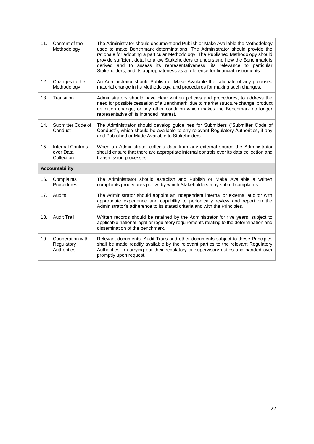| 11. | Content of the<br>Methodology                        | The Administrator should document and Publish or Make Available the Methodology<br>used to make Benchmark determinations. The Administrator should provide the<br>rationale for adopting a particular Methodology. The Published Methodology should<br>provide sufficient detail to allow Stakeholders to understand how the Benchmark is<br>derived and to assess its representativeness, its relevance to particular<br>Stakeholders, and its appropriateness as a reference for financial instruments. |  |  |  |  |  |
|-----|------------------------------------------------------|-----------------------------------------------------------------------------------------------------------------------------------------------------------------------------------------------------------------------------------------------------------------------------------------------------------------------------------------------------------------------------------------------------------------------------------------------------------------------------------------------------------|--|--|--|--|--|
| 12. | Changes to the<br>Methodology                        | An Administrator should Publish or Make Available the rationale of any proposed<br>material change in its Methodology, and procedures for making such changes.                                                                                                                                                                                                                                                                                                                                            |  |  |  |  |  |
| 13. | Transition                                           | Administrators should have clear written policies and procedures, to address the<br>need for possible cessation of a Benchmark, due to market structure change, product<br>definition change, or any other condition which makes the Benchmark no longer<br>representative of its intended Interest.                                                                                                                                                                                                      |  |  |  |  |  |
| 14. | Submitter Code of<br>Conduct                         | The Administrator should develop guidelines for Submitters ("Submitter Code of<br>Conduct"), which should be available to any relevant Regulatory Authorities, if any<br>and Published or Made Available to Stakeholders.                                                                                                                                                                                                                                                                                 |  |  |  |  |  |
| 15. | <b>Internal Controls</b><br>over Data<br>Collection  | When an Administrator collects data from any external source the Administrator<br>should ensure that there are appropriate internal controls over its data collection and<br>transmission processes.                                                                                                                                                                                                                                                                                                      |  |  |  |  |  |
|     | Accountability:                                      |                                                                                                                                                                                                                                                                                                                                                                                                                                                                                                           |  |  |  |  |  |
| 16. | Complaints<br>Procedures                             | The Administrator should establish and Publish or Make Available a written<br>complaints procedures policy, by which Stakeholders may submit complaints.                                                                                                                                                                                                                                                                                                                                                  |  |  |  |  |  |
| 17. | Audits                                               | The Administrator should appoint an independent internal or external auditor with<br>appropriate experience and capability to periodically review and report on the<br>Administrator's adherence to its stated criteria and with the Principles.                                                                                                                                                                                                                                                          |  |  |  |  |  |
| 18. | <b>Audit Trail</b>                                   | Written records should be retained by the Administrator for five years, subject to<br>applicable national legal or regulatory requirements relating to the determination and<br>dissemination of the benchmark.                                                                                                                                                                                                                                                                                           |  |  |  |  |  |
| 19. | Cooperation with<br>Regulatory<br><b>Authorities</b> | Relevant documents, Audit Trails and other documents subject to these Principles<br>shall be made readily available by the relevant parties to the relevant Regulatory<br>Authorities in carrying out their regulatory or supervisory duties and handed over<br>promptly upon request.                                                                                                                                                                                                                    |  |  |  |  |  |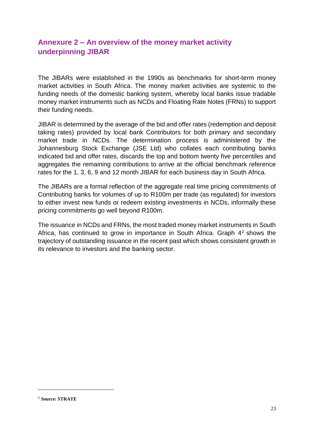# **Annexure 2 – An overview of the money market activity underpinning JIBAR**

The JIBARs were established in the 1990s as benchmarks for short-term money market activities in South Africa. The money market activities are systemic to the funding needs of the domestic banking system, whereby local banks issue tradable money market instruments such as NCDs and Floating Rate Notes (FRNs) to support their funding needs.

JIBAR is determined by the average of the bid and offer rates (redemption and deposit taking rates) provided by local bank Contributors for both primary and secondary market trade in NCDs. The determination process is administered by the Johannesburg Stock Exchange (JSE Ltd) who collates each contributing banks indicated bid and offer rates, discards the top and bottom twenty five percentiles and aggregates the remaining contributions to arrive at the official benchmark reference rates for the 1, 3, 6, 9 and 12 month JIBAR for each business day in South Africa.

The JIBARs are a formal reflection of the aggregate real time pricing commitments of Contributing banks for volumes of up to R100m per trade (as regulated) for investors to either invest new funds or redeem existing investments in NCDs, informally these pricing commitments go well beyond R100m.

The issuance in NCDs and FRNs, the most traded money market instruments in South Africa, has continued to grow in importance in South Africa. Graph 4<sup>2</sup> shows the trajectory of outstanding issuance in the recent past which shows consistent growth in its relevance to investors and the banking sector.

<sup>2</sup> **Source: STRATE**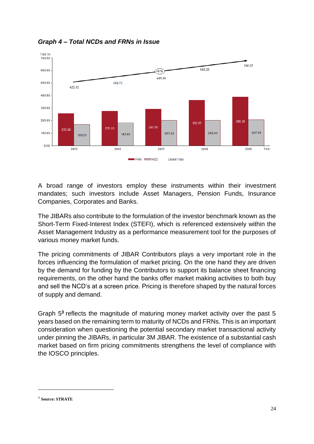

*Graph 4 – Total NCDs and FRNs in Issue*

A broad range of investors employ these instruments within their investment mandates; such investors include Asset Managers, Pension Funds, Insurance Companies, Corporates and Banks.

The JIBARs also contribute to the formulation of the investor benchmark known as the Short-Term Fixed-Interest Index (STEFI), which is referenced extensively within the Asset Management Industry as a performance measurement tool for the purposes of various money market funds.

The pricing commitments of JIBAR Contributors plays a very important role in the forces influencing the formulation of market pricing. On the one hand they are driven by the demand for funding by the Contributors to support its balance sheet financing requirements, on the other hand the banks offer market making activities to both buy and sell the NCD's at a screen price. Pricing is therefore shaped by the natural forces of supply and demand.

Graph 5<sup>3</sup> reflects the magnitude of maturing money market activity over the past 5 years based on the remaining term to maturity of NCDs and FRNs. This is an important consideration when questioning the potential secondary market transactional activity under pinning the JIBARs, in particular 3M JIBAR. The existence of a substantial cash market based on firm pricing commitments strengthens the level of compliance with the IOSCO principles.

<sup>3</sup> **Source: STRATE**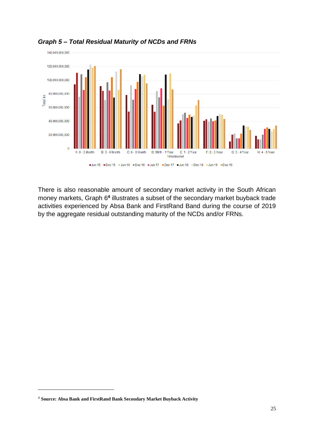

*Graph 5 – Total Residual Maturity of NCDs and FRNs*

There is also reasonable amount of secondary market activity in the South African money markets, Graph 6<sup>4</sup> illustrates a subset of the secondary market buyback trade activities experienced by Absa Bank and FirstRand Band during the course of 2019 by the aggregate residual outstanding maturity of the NCDs and/or FRNs.

<sup>4</sup> **Source: Absa Bank and FirstRand Bank Secondary Market Buyback Activity**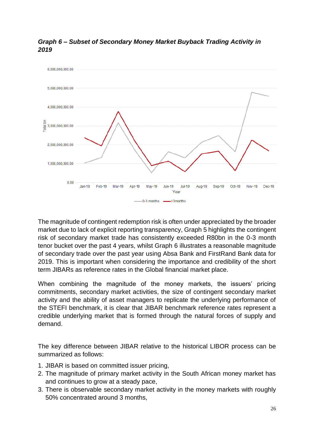

# *Graph 6 – Subset of Secondary Money Market Buyback Trading Activity in 2019*

The magnitude of contingent redemption risk is often under appreciated by the broader market due to lack of explicit reporting transparency, Graph 5 highlights the contingent risk of secondary market trade has consistently exceeded R80bn in the 0-3 month tenor bucket over the past 4 years, whilst Graph 6 illustrates a reasonable magnitude of secondary trade over the past year using Absa Bank and FirstRand Bank data for 2019. This is important when considering the importance and credibility of the short term JIBARs as reference rates in the Global financial market place.

When combining the magnitude of the money markets, the issuers' pricing commitments, secondary market activities, the size of contingent secondary market activity and the ability of asset managers to replicate the underlying performance of the STEFI benchmark, it is clear that JIBAR benchmark reference rates represent a credible underlying market that is formed through the natural forces of supply and demand.

The key difference between JIBAR relative to the historical LIBOR process can be summarized as follows:

- 1. JIBAR is based on committed issuer pricing,
- 2. The magnitude of primary market activity in the South African money market has and continues to grow at a steady pace,
- 3. There is observable secondary market activity in the money markets with roughly 50% concentrated around 3 months,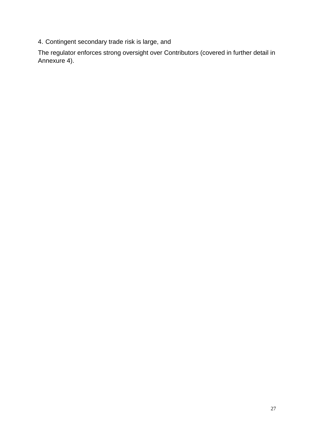4. Contingent secondary trade risk is large, and

The regulator enforces strong oversight over Contributors (covered in further detail in Annexure 4).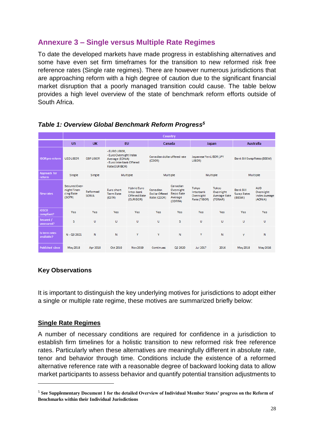# **Annexure 3 – Single versus Multiple Rate Regimes**

To date the developed markets have made progress in establishing alternatives and some have even set firm timeframes for the transition to new reformed risk free reference rates (Single rate regimes). There are however numerous jurisdictions that are approaching reform with a high degree of caution due to the significant financial market disruption that a poorly managed transition could cause. The table below provides a high level overview of the state of benchmark reform efforts outside of South Africa.

|                               | Country                                              |                          |                                                                                                         |                                                                      |                                           |                                                          |                                                 |                                                      |                                          |                                                            |
|-------------------------------|------------------------------------------------------|--------------------------|---------------------------------------------------------------------------------------------------------|----------------------------------------------------------------------|-------------------------------------------|----------------------------------------------------------|-------------------------------------------------|------------------------------------------------------|------------------------------------------|------------------------------------------------------------|
|                               | <b>US</b>                                            | <b>UK</b>                | <b>EU</b>                                                                                               |                                                                      | Canada                                    |                                                          |                                                 | <b>Japan</b>                                         | <b>Australia</b>                         |                                                            |
| <b>IBOR</b> pre-reform        | <b>USD LIBOR</b>                                     | <b>GBP LIBOR</b>         | - EURO LIBOR,<br>- Euro Overnight Index<br>Average (EONIA)<br>- Euro Interbank Offered<br>Rate(EURIBOR) |                                                                      | Canadian dollar offered rate<br>(CDOR)    |                                                          | Japanese Yen LIBOR (JPY<br>LIBOR)               |                                                      | Bank Bill Swap Rates (BBSW)              |                                                            |
| Approach for<br><b>reform</b> | Single                                               | Single                   | Multiple                                                                                                |                                                                      | Multiple                                  |                                                          |                                                 | Multiple                                             | Multiple                                 |                                                            |
| New rates                     | Secured Over-<br>night Finan-<br>cing Rate<br>(SOFR) | Reformed<br><b>SONIA</b> | Euro short<br><b>Term Rate</b><br>(ESTR)                                                                | <b>Hybrid Euro</b><br>Inter-bank<br><b>Offered Rate</b><br>(EURIBOR) | Canadian<br>Dollar Offered<br>Rate (CDOR) | Canadian<br>Overnight<br>Repo Rate<br>Average<br>(CORRA) | Tokyo<br>Interbank<br>Overnight<br>Rate (TIBOR) | Tokyo<br>Overnight<br><b>Average Rate</b><br>(TONAR) | <b>Bank Bill</b><br>Swap Rates<br>(BBSW) | <b>AUD</b><br>Overnight<br><b>Index Average</b><br>(AONIA) |
| <b>IOSCO</b><br>compliant?    | Yes                                                  | Yes                      | Yes                                                                                                     | Yes                                                                  | Yes                                       | Yes                                                      | Yes                                             | Yes                                                  | Yes                                      | Yes                                                        |
| Secured /<br>unsecured?       | s                                                    | U                        | U                                                                                                       | U                                                                    | U                                         | s                                                        | U                                               | U                                                    | $\cup$                                   | U                                                          |
| Is term rates<br>available?   | $N - Q3 2021$                                        | N                        | N                                                                                                       | Y                                                                    | Y                                         | N                                                        | Y                                               | N                                                    | Y                                        | N                                                          |
| <b>Published since</b>        | May 2018                                             | Apr 2018                 | Oct 2019                                                                                                | Nov 2019                                                             | Continues                                 | Q2 2020                                                  | <b>Jul 2017</b>                                 | 2016                                                 | May 2018                                 | May 2016                                                   |

# *Table 1: Overview Global Benchmark Reform Progress<sup>5</sup>*

# **Key Observations**

It is important to distinguish the key underlying motives for jurisdictions to adopt either a single or multiple rate regime, these motives are summarized briefly below:

# **Single Rate Regimes**

1

A number of necessary conditions are required for confidence in a jurisdiction to establish firm timelines for a holistic transition to new reformed risk free reference rates. Particularly when these alternatives are meaningfully different in absolute rate, tenor and behavior through time. Conditions include the existence of a reformed alternative reference rate with a reasonable degree of backward looking data to allow market participants to assess behavior and quantify potential transition adjustments to

<sup>5</sup> **See Supplementary Document 1 for the detailed Overview of Individual Member States' progress on the Reform of Benchmarks within their Individual Jurisdictions**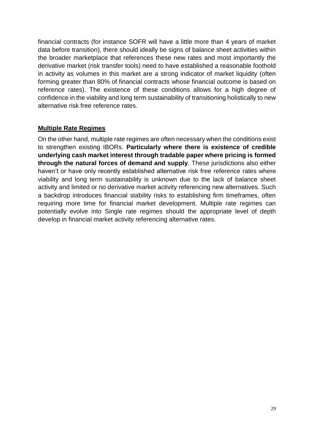financial contracts (for instance SOFR will have a little more than 4 years of market data before transition), there should ideally be signs of balance sheet activities within the broader marketplace that references these new rates and most importantly the derivative market (risk transfer tools) need to have established a reasonable foothold in activity as volumes in this market are a strong indicator of market liquidity (often forming greater than 80% of financial contracts whose financial outcome is based on reference rates). The existence of these conditions allows for a high degree of confidence in the viability and long term sustainability of transitioning holistically to new alternative risk free reference rates.

# **Multiple Rate Regimes**

On the other hand, multiple rate regimes are often necessary when the conditions exist to strengthen existing IBORs. **Particularly where there is existence of credible underlying cash market interest through tradable paper where pricing is formed through the natural forces of demand and supply**. These jurisdictions also either haven't or have only recently established alternative risk free reference rates where viability and long term sustainability is unknown due to the lack of balance sheet activity and limited or no derivative market activity referencing new alternatives. Such a backdrop introduces financial stability risks to establishing firm timeframes, often requiring more time for financial market development. Multiple rate regimes can potentially evolve into Single rate regimes should the appropriate level of depth develop in financial market activity referencing alternative rates.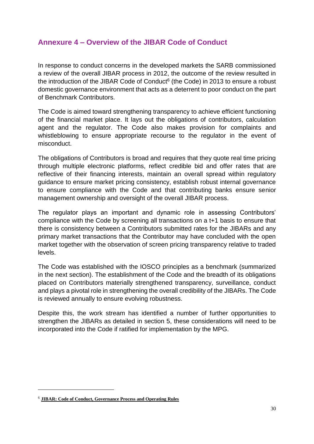# **Annexure 4 – Overview of the JIBAR Code of Conduct**

In response to conduct concerns in the developed markets the SARB commissioned a review of the overall JIBAR process in 2012, the outcome of the review resulted in the introduction of the JIBAR Code of Conduct $6$  (the Code) in 2013 to ensure a robust domestic governance environment that acts as a deterrent to poor conduct on the part of Benchmark Contributors.

The Code is aimed toward strengthening transparency to achieve efficient functioning of the financial market place. It lays out the obligations of contributors, calculation agent and the regulator. The Code also makes provision for complaints and whistleblowing to ensure appropriate recourse to the regulator in the event of misconduct.

The obligations of Contributors is broad and requires that they quote real time pricing through multiple electronic platforms, reflect credible bid and offer rates that are reflective of their financing interests, maintain an overall spread within regulatory guidance to ensure market pricing consistency, establish robust internal governance to ensure compliance with the Code and that contributing banks ensure senior management ownership and oversight of the overall JIBAR process.

The regulator plays an important and dynamic role in assessing Contributors' compliance with the Code by screening all transactions on a t+1 basis to ensure that there is consistency between a Contributors submitted rates for the JIBARs and any primary market transactions that the Contributor may have concluded with the open market together with the observation of screen pricing transparency relative to traded levels.

The Code was established with the IOSCO principles as a benchmark (summarized in the next section). The establishment of the Code and the breadth of its obligations placed on Contributors materially strengthened transparency, surveillance, conduct and plays a pivotal role in strengthening the overall credibility of the JIBARs. The Code is reviewed annually to ensure evolving robustness.

Despite this, the work stream has identified a number of further opportunities to strengthen the JIBARs as detailed in section 5, these considerations will need to be incorporated into the Code if ratified for implementation by the MPG.

<sup>6</sup> **[JIBAR: Code of Conduct, Governance Process and Operating Rules](https://www.resbank.co.za/Lists/News%20and%20Publications/Attachments/8225/Jibar%20Code%20of%20Conduct_January%202018.pdf)**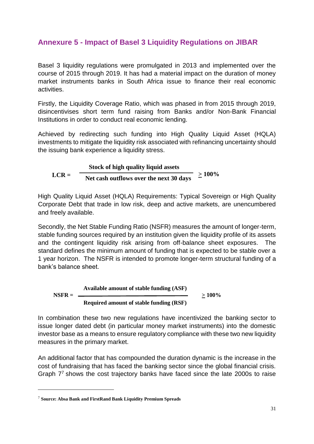# **Annexure 5 - Impact of Basel 3 Liquidity Regulations on JIBAR**

Basel 3 liquidity regulations were promulgated in 2013 and implemented over the course of 2015 through 2019. It has had a material impact on the duration of money market instruments banks in South Africa issue to finance their real economic activities.

Firstly, the Liquidity Coverage Ratio, which was phased in from 2015 through 2019, disincentivises short term fund raising from Banks and/or Non-Bank Financial Institutions in order to conduct real economic lending.

Achieved by redirecting such funding into High Quality Liquid Asset (HQLA) investments to mitigate the liquidity risk associated with refinancing uncertainty should the issuing bank experience a liquidity stress.

$$
LCR = \frac{\text{Stock of high quality liquid assets}}{\text{Net cash outflows over the next 30 days}} \ge 100\%
$$

High Quality Liquid Asset (HQLA) Requirements: Typical Sovereign or High Quality Corporate Debt that trade in low risk, deep and active markets, are unencumbered and freely available.

Secondly, the Net Stable Funding Ratio (NSFR) measures the amount of longer-term, stable funding sources required by an institution given the liquidity profile of its assets and the contingent liquidity risk arising from off-balance sheet exposures. The standard defines the minimum amount of funding that is expected to be stable over a 1 year horizon. The NSFR is intended to promote longer-term structural funding of a bank's balance sheet.

**NSFR =**

\n**Aguired amount of stable funding (ASF)**

\n
$$
\geq 100\%
$$

\n $\geq 100\%$ 

In combination these two new regulations have incentivized the banking sector to issue longer dated debt (in particular money market instruments) into the domestic investor base as a means to ensure regulatory compliance with these two new liquidity measures in the primary market.

An additional factor that has compounded the duration dynamic is the increase in the cost of fundraising that has faced the banking sector since the global financial crisis. Graph 7 <sup>7</sup> shows the cost trajectory banks have faced since the late 2000s to raise

<sup>7</sup> **Source: Absa Bank and FirstRand Bank Liquidity Premium Spreads**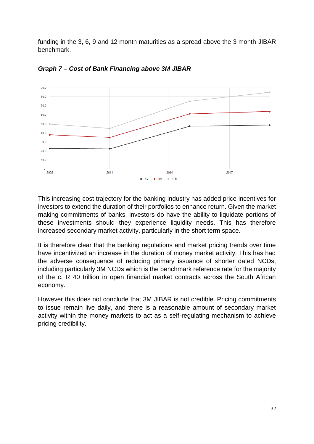funding in the 3, 6, 9 and 12 month maturities as a spread above the 3 month JIBAR benchmark.



*Graph 7 – Cost of Bank Financing above 3M JIBAR*

This increasing cost trajectory for the banking industry has added price incentives for investors to extend the duration of their portfolios to enhance return. Given the market making commitments of banks, investors do have the ability to liquidate portions of these investments should they experience liquidity needs. This has therefore increased secondary market activity, particularly in the short term space.

It is therefore clear that the banking regulations and market pricing trends over time have incentivized an increase in the duration of money market activity. This has had the adverse consequence of reducing primary issuance of shorter dated NCDs, including particularly 3M NCDs which is the benchmark reference rate for the majority of the c. R 40 trillion in open financial market contracts across the South African economy.

However this does not conclude that 3M JIBAR is not credible. Pricing commitments to issue remain live daily, and there is a reasonable amount of secondary market activity within the money markets to act as a self-regulating mechanism to achieve pricing credibility.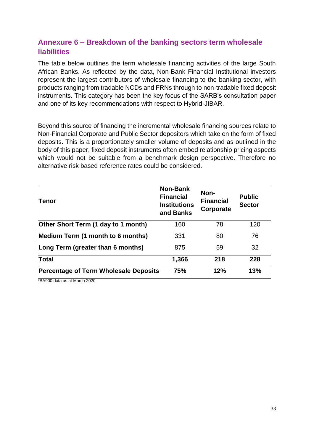# **Annexure 6 – Breakdown of the banking sectors term wholesale liabilities**

The table below outlines the term wholesale financing activities of the large South African Banks. As reflected by the data, Non-Bank Financial Institutional investors represent the largest contributors of wholesale financing to the banking sector, with products ranging from tradable NCDs and FRNs through to non-tradable fixed deposit instruments. This category has been the key focus of the SARB's consultation paper and one of its key recommendations with respect to Hybrid-JIBAR.

Beyond this source of financing the incremental wholesale financing sources relate to Non-Financial Corporate and Public Sector depositors which take on the form of fixed deposits. This is a proportionately smaller volume of deposits and as outlined in the body of this paper, fixed deposit instruments often embed relationship pricing aspects which would not be suitable from a benchmark design perspective. Therefore no alternative risk based reference rates could be considered.

| Tenor                                        | <b>Non-Bank</b><br><b>Financial</b><br><b>Institutions</b><br>and Banks | Non-<br><b>Financial</b><br>Corporate | <b>Public</b><br><b>Sector</b> |
|----------------------------------------------|-------------------------------------------------------------------------|---------------------------------------|--------------------------------|
| Other Short Term (1 day to 1 month)          | 160                                                                     | 78                                    | 120                            |
| Medium Term (1 month to 6 months)            | 331                                                                     | 80                                    | 76                             |
| Long Term (greater than 6 months)            | 875                                                                     | 59                                    | 32                             |
| Total                                        | 1,366                                                                   | 218                                   | 228                            |
| <b>Percentage of Term Wholesale Deposits</b> | 75%                                                                     | 12%                                   | 13%                            |

\*BA900 data as at March 2020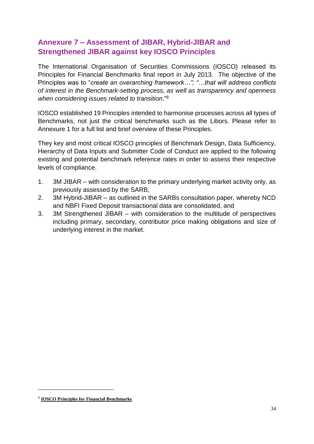# **Annexure 7 – Assessment of JIBAR, Hybrid-JIBAR and Strengthened JIBAR against key IOSCO Principles**

The International Organisation of Securities Commissions (IOSCO) released its Principles for Financial Benchmarks final report in July 2013. The objective of the Principles was to "*create an overarching framework…"; "…that will address conflicts of interest in the Benchmark-setting process, as well as transparency and openness when considering issues related to transition*."<sup>8</sup>

IOSCO established 19 Principles intended to harmonise processes across all types of Benchmarks, not just the critical benchmarks such as the Libors. Please refer to Annexure 1 for a full list and brief overview of these Principles.

They key and most critical IOSCO principles of Benchmark Design, Data Sufficiency, Hierarchy of Data Inputs and Submitter Code of Conduct are applied to the following existing and potential benchmark reference rates in order to assess their respective levels of compliance.

- 1. 3M JIBAR with consideration to the primary underlying market activity only, as previously assessed by the SARB,
- 2. 3M Hybrid-JIBAR as outlined in the SARBs consultation paper, whereby NCD and NBFI Fixed Deposit transactional data are consolidated, and
- 3. 3M Strengthened JIBAR with consideration to the multitude of perspectives including primary, secondary, contributor price making obligations and size of underlying interest in the market.

<sup>8</sup> **IOSCO Principles for Financial Benchmarks**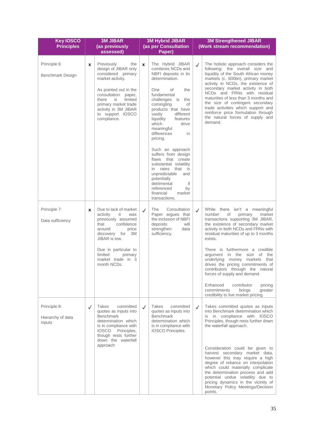| <b>Key IOSCO</b><br><b>Principles</b>       |              | <b>3M JIBAR</b><br>(as previously<br>assessed)                                                                                                                                                                                                   |              | <b>3M Hybrid JIBAR</b><br>(as per Consultation<br>Paper)                                                                                                                                                                                                                                                                                                                                                                                                                                                                                           |              | <b>3M Strengthened JIBAR</b><br>(Work stream recommendation)                                                                                                                                                                                                                                                                                                                                                                                                                                                                                                             |  |  |
|---------------------------------------------|--------------|--------------------------------------------------------------------------------------------------------------------------------------------------------------------------------------------------------------------------------------------------|--------------|----------------------------------------------------------------------------------------------------------------------------------------------------------------------------------------------------------------------------------------------------------------------------------------------------------------------------------------------------------------------------------------------------------------------------------------------------------------------------------------------------------------------------------------------------|--------------|--------------------------------------------------------------------------------------------------------------------------------------------------------------------------------------------------------------------------------------------------------------------------------------------------------------------------------------------------------------------------------------------------------------------------------------------------------------------------------------------------------------------------------------------------------------------------|--|--|
| Principle 6:<br><b>Benchmark Design</b>     | X            | Previously<br>the<br>design of JIBAR only<br>considered primary<br>market activity.<br>As pointed out in the<br>consultation paper,<br>limited<br>there<br>is<br>primary market trade<br>activity in 3M JIBAR<br>to support IOSCO<br>compliance. | $\mathbf{x}$ | The Hybrid JIBAR<br>combines NCDs and<br>NBFI deposits in its<br>determination.<br>the<br>One<br>of<br>fundamental<br>challenges is the<br>comingling<br>of<br>products that have<br>vastly<br>different<br>liquidity<br>features<br>which<br>drive<br>meaningful<br>differences<br>in<br>pricing.<br>Such an approach<br>suffers from design<br>flaws that create<br>substantial volatility<br>rates<br>that<br>is<br>in.<br>unpredictable<br>and<br>potentially<br>detrimental<br>if<br>referenced<br>by<br>financial<br>market<br>transactions. | $\checkmark$ | The holistic approach considers the<br>following: the overall size and<br>liquidity of the South African money<br>markets (c. 600bn), primary market<br>activity in NCDs, the existence of<br>secondary market activity in both<br>NCDs and FRNs with residual<br>maturities of less than 3 months and<br>the size of contingent secondary<br>trade activities which support and<br>reinforce price formulation through<br>the natural forces of supply and<br>demand.                                                                                                   |  |  |
| Principle 7:<br>Data sufficiency            | X            | Due to lack of market<br>activity<br>it<br>was<br>previously assumed<br>that<br>confidence<br>around<br>price<br>discovery for 3M<br>JIBAR is low.<br>Due in particular to<br>limited<br>primary<br>market trade in 3<br>month NCDs.             | $\checkmark$ | Consultation<br>The<br>Paper argues that<br>the inclusion of NBFI<br>deposits<br>will<br>strengthen<br>data<br>sufficiency.                                                                                                                                                                                                                                                                                                                                                                                                                        | $\checkmark$ | While there isn't a meaningful<br>number<br>primary<br>market<br>of<br>transactions supporting 3M JIBAR,<br>the existence of secondary market<br>activity in both NCDs and FRNs with<br>residual maturities of up to 3 months<br>exists.<br>There is furthermore a credible<br>argument in the size of<br>the<br>underlying money markets that<br>drives the pricing commitments of<br>contributors through the natural<br>forces of supply and demand.<br>Enhanced<br>contributor<br>pricing<br>commitments<br>brinas<br>greater<br>credibility to live market pricing. |  |  |
| Principle 8:<br>Hierarchy of data<br>inputs | $\checkmark$ | Takes<br>committed<br>quotes as inputs into<br><b>Benchmark</b><br>determination which<br>is in compliance with<br>Principles,<br><b>IOSCO</b><br>though rests further<br>down the waterfall<br>approach                                         | $\checkmark$ | Takes<br>committed<br>quotes as inputs into<br><b>Benchmark</b><br>determination which<br>is in compliance with<br>IOSCO Principles.                                                                                                                                                                                                                                                                                                                                                                                                               | $\checkmark$ | Takes committed quotes as inputs<br>into Benchmark determination which<br>is in compliance with IOSCO<br>Principles, though rests further down<br>the waterfall approach.<br>Consideration could be given to<br>harvest secondary market data,<br>however this may require a high<br>degree of reliance on interpolation<br>which could materially complicate<br>the determination process and add<br>potential undue volatility due to<br>pricing dynamics in the vicinity of<br>Monetary Policy Meetings/Decision<br>points.                                           |  |  |